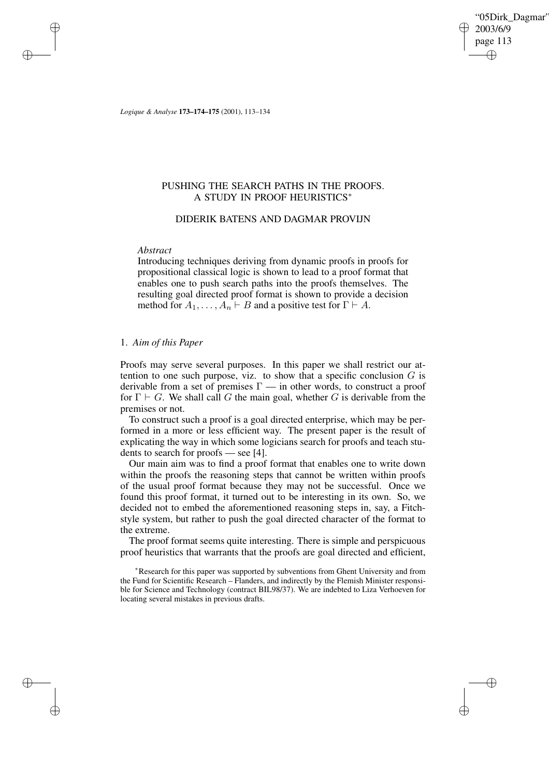"05Dirk\_Dagmar" 2003/6/9 page 113 ✐ ✐

✐

✐

*Logique & Analyse* **173–174–175** (2001), 113–134

# PUSHING THE SEARCH PATHS IN THE PROOFS. A STUDY IN PROOF HEURISTICS<sup>∗</sup>

## DIDERIK BATENS AND DAGMAR PROVIJN

## *Abstract*

✐

✐

✐

✐

Introducing techniques deriving from dynamic proofs in proofs for propositional classical logic is shown to lead to a proof format that enables one to push search paths into the proofs themselves. The resulting goal directed proof format is shown to provide a decision method for  $A_1, \ldots, A_n \vdash B$  and a positive test for  $\Gamma \vdash A$ .

# 1. *Aim of this Paper*

Proofs may serve several purposes. In this paper we shall restrict our attention to one such purpose, viz. to show that a specific conclusion  $G$  is derivable from a set of premises  $\Gamma$  — in other words, to construct a proof for  $\Gamma \vdash G$ . We shall call G the main goal, whether G is derivable from the premises or not.

To construct such a proof is a goal directed enterprise, which may be performed in a more or less efficient way. The present paper is the result of explicating the way in which some logicians search for proofs and teach students to search for proofs — see [4].

Our main aim was to find a proof format that enables one to write down within the proofs the reasoning steps that cannot be written within proofs of the usual proof format because they may not be successful. Once we found this proof format, it turned out to be interesting in its own. So, we decided not to embed the aforementioned reasoning steps in, say, a Fitchstyle system, but rather to push the goal directed character of the format to the extreme.

The proof format seems quite interesting. There is simple and perspicuous proof heuristics that warrants that the proofs are goal directed and efficient,

<sup>∗</sup>Research for this paper was supported by subventions from Ghent University and from the Fund for Scientific Research – Flanders, and indirectly by the Flemish Minister responsible for Science and Technology (contract BIL98/37). We are indebted to Liza Verhoeven for locating several mistakes in previous drafts.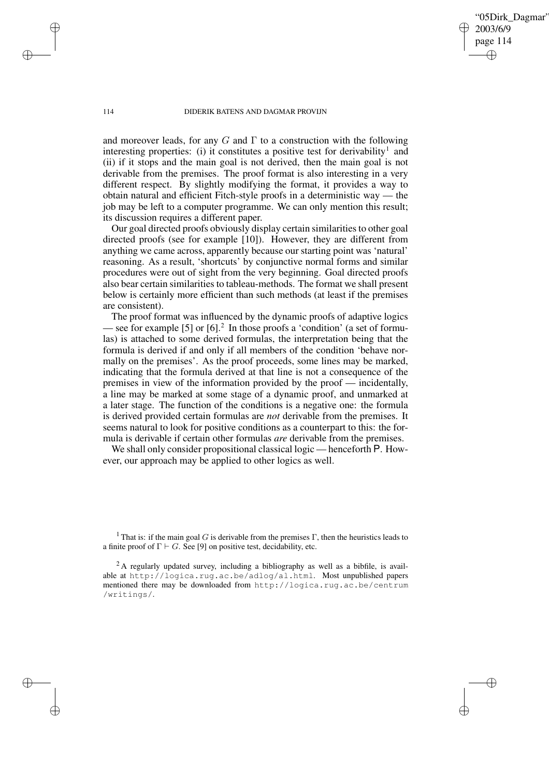114 DIDERIK BATENS AND DAGMAR PROVIJN

"05Dirk\_Dagmar"

2003/6/9 page 114

✐

✐

✐

✐

and moreover leads, for any G and  $\Gamma$  to a construction with the following interesting properties: (i) it constitutes a positive test for derivability<sup>1</sup> and (ii) if it stops and the main goal is not derived, then the main goal is not derivable from the premises. The proof format is also interesting in a very different respect. By slightly modifying the format, it provides a way to obtain natural and efficient Fitch-style proofs in a deterministic way — the job may be left to a computer programme. We can only mention this result; its discussion requires a different paper.

Our goal directed proofs obviously display certain similarities to other goal directed proofs (see for example [10]). However, they are different from anything we came across, apparently because our starting point was 'natural' reasoning. As a result, 'shortcuts' by conjunctive normal forms and similar procedures were out of sight from the very beginning. Goal directed proofs also bear certain similarities to tableau-methods. The format we shall present below is certainly more efficient than such methods (at least if the premises are consistent).

The proof format was influenced by the dynamic proofs of adaptive logics — see for example [5] or  $[6]$ <sup>2</sup>. In those proofs a 'condition' (a set of formulas) is attached to some derived formulas, the interpretation being that the formula is derived if and only if all members of the condition 'behave normally on the premises'. As the proof proceeds, some lines may be marked, indicating that the formula derived at that line is not a consequence of the premises in view of the information provided by the proof — incidentally, a line may be marked at some stage of a dynamic proof, and unmarked at a later stage. The function of the conditions is a negative one: the formula is derived provided certain formulas are *not* derivable from the premises. It seems natural to look for positive conditions as a counterpart to this: the formula is derivable if certain other formulas *are* derivable from the premises.

We shall only consider propositional classical logic — henceforth P. However, our approach may be applied to other logics as well.

✐

✐

✐

<sup>&</sup>lt;sup>1</sup> That is: if the main goal G is derivable from the premises  $\Gamma$ , then the heuristics leads to a finite proof of  $\Gamma \vdash G$ . See [9] on positive test, decidability, etc.

 $2A$  regularly updated survey, including a bibliography as well as a bibfile, is available at http://logica.rug.ac.be/adlog/al.html. Most unpublished papers mentioned there may be downloaded from http://logica.rug.ac.be/centrum /writings/.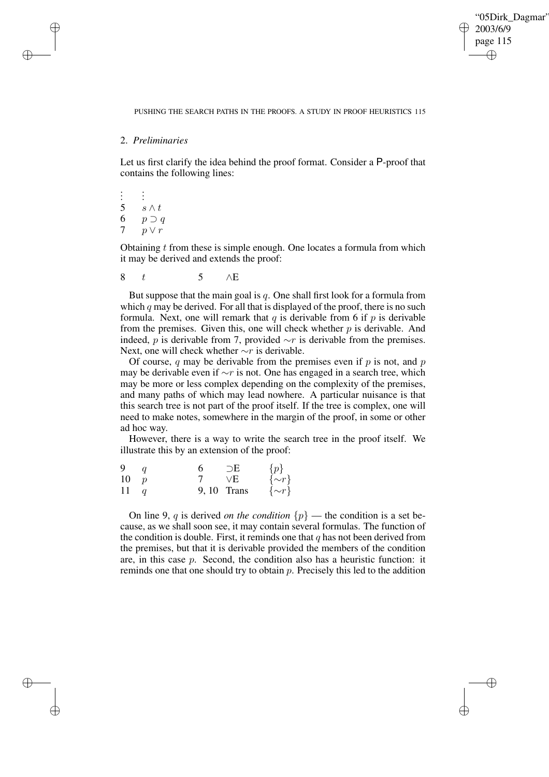✐

## PUSHING THE SEARCH PATHS IN THE PROOFS. A STUDY IN PROOF HEURISTICS 115

## 2. *Preliminaries*

✐

✐

✐

✐

Let us first clarify the idea behind the proof format. Consider a P-proof that contains the following lines:

```
.
.
.
       .
.
.
5 s \wedge t6 p \supset q7 p \vee r
```
Obtaining  $t$  from these is simple enough. One locates a formula from which it may be derived and extends the proof:

8 t 5  $\wedge$ E

But suppose that the main goal is  $q$ . One shall first look for a formula from which  $q$  may be derived. For all that is displayed of the proof, there is no such formula. Next, one will remark that q is derivable from 6 if  $p$  is derivable from the premises. Given this, one will check whether  $p$  is derivable. And indeed, *p* is derivable from 7, provided  $\sim r$  is derivable from the premises. Next, one will check whether ∼r is derivable.

Of course, q may be derivable from the premises even if  $p$  is not, and  $p$ may be derivable even if  $\sim r$  is not. One has engaged in a search tree, which may be more or less complex depending on the complexity of the premises, and many paths of which may lead nowhere. A particular nuisance is that this search tree is not part of the proof itself. If the tree is complex, one will need to make notes, somewhere in the margin of the proof, in some or other ad hoc way.

However, there is a way to write the search tree in the proof itself. We illustrate this by an extension of the proof:

| 9            | 6. | $\supset$ E | $\{p\}$      |
|--------------|----|-------------|--------------|
| 10 p         |    | $\vee$ E    | $\{\sim r\}$ |
| $11 \quad q$ |    | 9,10 Trans  | $\{\sim r\}$ |

On line 9, q is derived *on the condition*  $\{p\}$  — the condition is a set because, as we shall soon see, it may contain several formulas. The function of the condition is double. First, it reminds one that  $q$  has not been derived from the premises, but that it is derivable provided the members of the condition are, in this case  $p$ . Second, the condition also has a heuristic function: it reminds one that one should try to obtain  $p$ . Precisely this led to the addition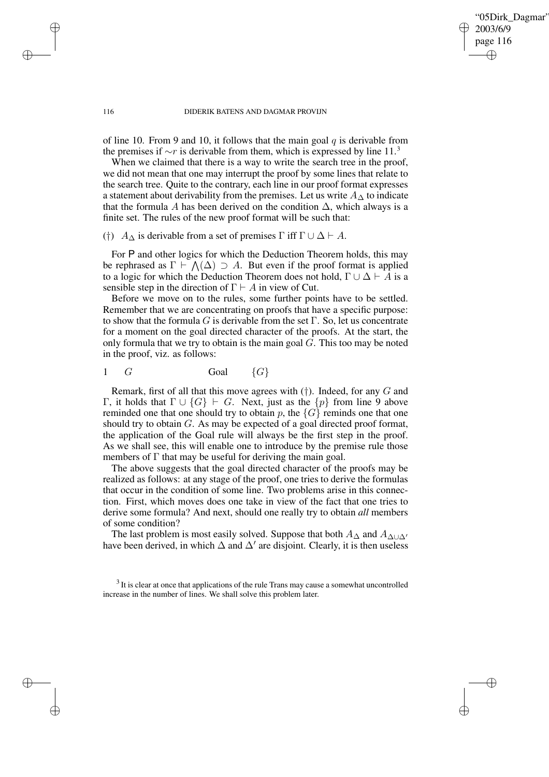"05Dirk\_Dagmar" 2003/6/9 page 116 ✐ ✐

✐

✐

#### 116 DIDERIK BATENS AND DAGMAR PROVIJN

of line 10. From 9 and 10, it follows that the main goal  $q$  is derivable from the premises if  $\sim r$  is derivable from them, which is expressed by line 11.<sup>3</sup>

When we claimed that there is a way to write the search tree in the proof, we did not mean that one may interrupt the proof by some lines that relate to the search tree. Quite to the contrary, each line in our proof format expresses a statement about derivability from the premises. Let us write  $A_{\Delta}$  to indicate that the formula A has been derived on the condition  $\Delta$ , which always is a finite set. The rules of the new proof format will be such that:

# (†)  $A_{\Delta}$  is derivable from a set of premises  $\Gamma$  iff  $\Gamma \cup \Delta \vdash A$ .

For P and other logics for which the Deduction Theorem holds, this may be rephrased as  $\Gamma \vdash \bigwedge(\Delta) \supset A$ . But even if the proof format is applied to a logic for which the Deduction Theorem does not hold,  $\Gamma \cup \Delta \vdash A$  is a sensible step in the direction of  $\Gamma \vdash A$  in view of Cut.

Before we move on to the rules, some further points have to be settled. Remember that we are concentrating on proofs that have a specific purpose: to show that the formula G is derivable from the set  $\Gamma$ . So, let us concentrate for a moment on the goal directed character of the proofs. At the start, the only formula that we try to obtain is the main goal  $G$ . This too may be noted in the proof, viz. as follows:

$$
1 \tG \t \t \text{Goal} \t \{G\}
$$

Remark, first of all that this move agrees with  $(\dagger)$ . Indeed, for any G and Γ, it holds that Γ ∪ {G}  $\vdash$  G. Next, just as the {p} from line 9 above reminded one that one should try to obtain p, the  $\{G\}$  reminds one that one should try to obtain G. As may be expected of a goal directed proof format, the application of the Goal rule will always be the first step in the proof. As we shall see, this will enable one to introduce by the premise rule those members of  $\Gamma$  that may be useful for deriving the main goal.

The above suggests that the goal directed character of the proofs may be realized as follows: at any stage of the proof, one tries to derive the formulas that occur in the condition of some line. Two problems arise in this connection. First, which moves does one take in view of the fact that one tries to derive some formula? And next, should one really try to obtain *all* members of some condition?

The last problem is most easily solved. Suppose that both  $A_{\Delta}$  and  $A_{\Delta\cup\Delta'}$ have been derived, in which  $\Delta$  and  $\Delta'$  are disjoint. Clearly, it is then useless

✐

✐

✐

 $3$  It is clear at once that applications of the rule Trans may cause a somewhat uncontrolled increase in the number of lines. We shall solve this problem later.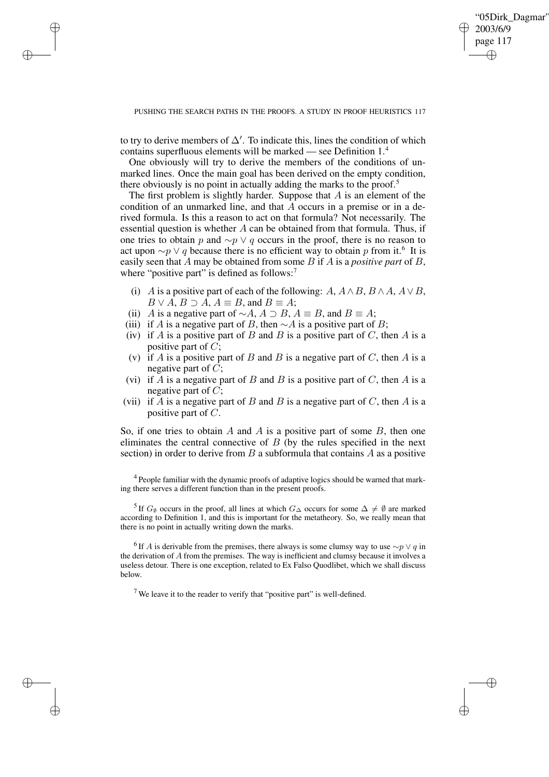✐

## PUSHING THE SEARCH PATHS IN THE PROOFS. A STUDY IN PROOF HEURISTICS 117

to try to derive members of  $\Delta'$ . To indicate this, lines the condition of which contains superfluous elements will be marked — see Definition 1.<sup>4</sup>

✐

✐

✐

✐

One obviously will try to derive the members of the conditions of unmarked lines. Once the main goal has been derived on the empty condition, there obviously is no point in actually adding the marks to the proof.<sup>5</sup>

The first problem is slightly harder. Suppose that  $A$  is an element of the condition of an unmarked line, and that  $\overline{A}$  occurs in a premise or in a derived formula. Is this a reason to act on that formula? Not necessarily. The essential question is whether  $A$  can be obtained from that formula. Thus, if one tries to obtain p and  $\sim p \vee q$  occurs in the proof, there is no reason to act upon  $\sim p \vee q$  because there is no efficient way to obtain p from it.<sup>6</sup> It is easily seen that A may be obtained from some B if A is a *positive part* of B, where "positive part" is defined as follows:<sup>7</sup>

- (i) A is a positive part of each of the following:  $A, A \wedge B, B \wedge A, A \vee B$ ,  $B \vee A$ ,  $B \supset A$ ,  $A \equiv B$ , and  $B \equiv A$ ;
- (ii) A is a negative part of  $\sim A$ ,  $A \supset B$ ,  $A \equiv B$ , and  $B \equiv A$ ;
- (iii) if A is a negative part of B, then  $\sim$ A is a positive part of B;
- (iv) if A is a positive part of B and B is a positive part of C, then A is a positive part of  $C$ ;
- (v) if A is a positive part of B and B is a negative part of C, then A is a negative part of  $C$ ;
- (vi) if  $\overline{A}$  is a negative part of  $\overline{B}$  and  $\overline{B}$  is a positive part of  $C$ , then  $\overline{A}$  is a negative part of  $C$ ;
- (vii) if A is a negative part of B and B is a negative part of C, then A is a positive part of C.

So, if one tries to obtain A and A is a positive part of some  $B$ , then one eliminates the central connective of  $B$  (by the rules specified in the next section) in order to derive from  $B$  a subformula that contains  $A$  as a positive

<sup>4</sup> People familiar with the dynamic proofs of adaptive logics should be warned that marking there serves a different function than in the present proofs.

<sup>5</sup> If  $G_{\emptyset}$  occurs in the proof, all lines at which  $G_{\Delta}$  occurs for some  $\Delta \neq \emptyset$  are marked according to Definition 1, and this is important for the metatheory. So, we really mean that there is no point in actually writing down the marks.

<sup>6</sup> If A is derivable from the premises, there always is some clumsy way to use  $\sim p \vee q$  in the derivation of A from the premises. The way is inefficient and clumsy because it involves a useless detour. There is one exception, related to Ex Falso Quodlibet, which we shall discuss below.

<sup>7</sup> We leave it to the reader to verify that "positive part" is well-defined.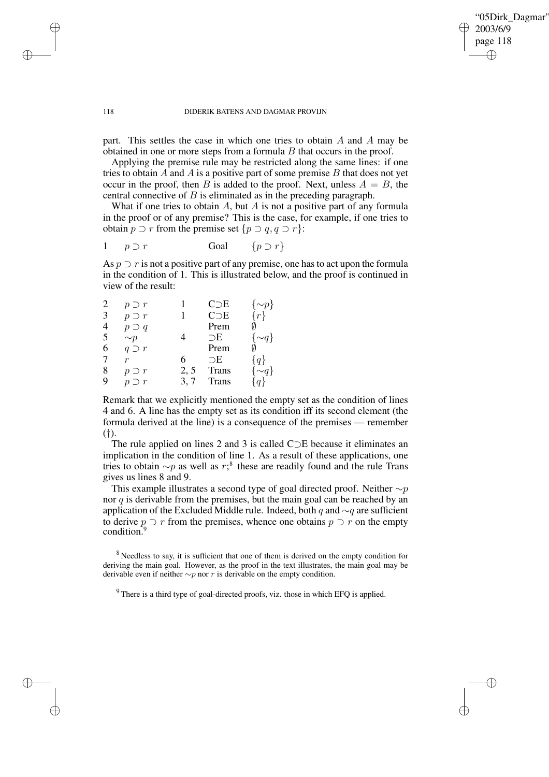✐

#### 118 DIDERIK BATENS AND DAGMAR PROVIJN

part. This settles the case in which one tries to obtain A and A may be obtained in one or more steps from a formula  $B$  that occurs in the proof.

Applying the premise rule may be restricted along the same lines: if one tries to obtain A and A is a positive part of some premise  $B$  that does not yet occur in the proof, then B is added to the proof. Next, unless  $A = B$ , the central connective of B is eliminated as in the preceding paragraph.

What if one tries to obtain  $A$ , but  $A$  is not a positive part of any formula in the proof or of any premise? This is the case, for example, if one tries to obtain  $p \supset r$  from the premise set  $\{p \supset q, q \supset r\}$ :

$$
1 \quad p \supset r \qquad \qquad \text{Goal} \qquad \{p \supset r\}
$$

As  $p \supset r$  is not a positive part of any premise, one has to act upon the formula in the condition of 1. This is illustrated below, and the proof is continued in view of the result:

| $\overline{2}$ | $p \supset r$ |      | C <sub>DE</sub> |          |
|----------------|---------------|------|-----------------|----------|
| 3              | $p \supset r$ |      | C <sub>DE</sub> |          |
| $\overline{4}$ | $p \supset q$ |      | Prem            |          |
| 5              | $\sim p$      |      | $\supset$ E     | $\sim q$ |
| 6              | $q \supset r$ |      | Prem            |          |
| 7              | r             | 6    | $\supset$ E     | $q\}$    |
| 8              | $p \supset r$ | 2, 5 | <b>Trans</b>    |          |
| 9              | $p \supset r$ | 3.7  | <b>Trans</b>    |          |

Remark that we explicitly mentioned the empty set as the condition of lines 4 and 6. A line has the empty set as its condition iff its second element (the formula derived at the line) is a consequence of the premises — remember (†).

The rule applied on lines 2 and 3 is called C⊃E because it eliminates an implication in the condition of line 1. As a result of these applications, one tries to obtain  $\sim p$  as well as r;<sup>8</sup> these are readily found and the rule Trans gives us lines 8 and 9.

This example illustrates a second type of goal directed proof. Neither  $\sim p$ nor  $q$  is derivable from the premises, but the main goal can be reached by an application of the Excluded Middle rule. Indeed, both q and  $\sim q$  are sufficient to derive  $p \supset r$  from the premises, whence one obtains  $p \supset r$  on the empty condition.<sup>9</sup>

<sup>8</sup> Needless to say, it is sufficient that one of them is derived on the empty condition for deriving the main goal. However, as the proof in the text illustrates, the main goal may be derivable even if neither  $\sim p$  nor r is derivable on the empty condition.

 $9$  There is a third type of goal-directed proofs, viz. those in which EFO is applied.

✐

✐

✐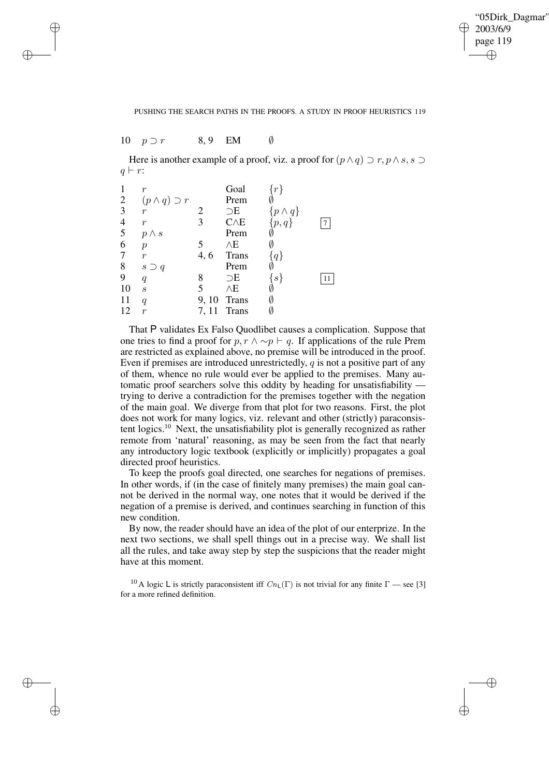✐

## PUSHING THE SEARCH PATHS IN THE PROOFS. A STUDY IN PROOF HEURISTICS 119

10  $p \supset r$  8, 9 EM  $\emptyset$ 

✐

✐

✐

✐

Here is another example of a proof, viz. a proof for  $(p \wedge q) \supset r, p \wedge s, s \supset$  $q \vdash r$ :

| $\mathbf{1}$   | $\boldsymbol{r}$         |       | Goal         |                  |  |
|----------------|--------------------------|-------|--------------|------------------|--|
|                | $(p \wedge q) \supset r$ |       | Prem         |                  |  |
| $\frac{2}{3}$  | $\boldsymbol{r}$         | 2     | $\supset$ E  | $\{p \wedge q\}$ |  |
|                | $\boldsymbol{r}$         | 3     | $C \wedge E$ | $\{p,q\}$        |  |
| $\frac{4}{5}$  | $p \wedge s$             |       | Prem         |                  |  |
| 6              | $\boldsymbol{p}$         | 5     | $\wedge$ E   |                  |  |
| $\overline{7}$ | $\boldsymbol{r}$         | 4,6   | <b>Trans</b> | $q\}$            |  |
| 8              | $s \supset q$            |       | Prem         |                  |  |
| 9              | $\boldsymbol{q}$         | 8     | $\supset$ E  | s                |  |
| 10             | $\boldsymbol{s}$         | 5     | $\wedge$ E   |                  |  |
| 11             | q                        | 9, 10 | <b>Trans</b> |                  |  |
| 12             | $\boldsymbol{r}$         | 7, 11 | <b>Trans</b> |                  |  |

That P validates Ex Falso Quodlibet causes a complication. Suppose that one tries to find a proof for  $p, r \wedge \neg p \vdash q$ . If applications of the rule Prem are restricted as explained above, no premise will be introduced in the proof. Even if premises are introduced unrestrictedly,  $q$  is not a positive part of any of them, whence no rule would ever be applied to the premises. Many automatic proof searchers solve this oddity by heading for unsatisfiability trying to derive a contradiction for the premises together with the negation of the main goal. We diverge from that plot for two reasons. First, the plot does not work for many logics, viz. relevant and other (strictly) paraconsistent logics.<sup>10</sup> Next, the unsatisfiability plot is generally recognized as rather remote from 'natural' reasoning, as may be seen from the fact that nearly any introductory logic textbook (explicitly or implicitly) propagates a goal directed proof heuristics.

To keep the proofs goal directed, one searches for negations of premises. In other words, if (in the case of finitely many premises) the main goal cannot be derived in the normal way, one notes that it would be derived if the negation of a premise is derived, and continues searching in function of this new condition.

By now, the reader should have an idea of the plot of our enterprize. In the next two sections, we shall spell things out in a precise way. We shall list all the rules, and take away step by step the suspicions that the reader might have at this moment.

<sup>10</sup> A logic L is strictly paraconsistent iff  $Cn_{\text{L}}(\Gamma)$  is not trivial for any finite  $\Gamma$  — see [3] for a more refined definition.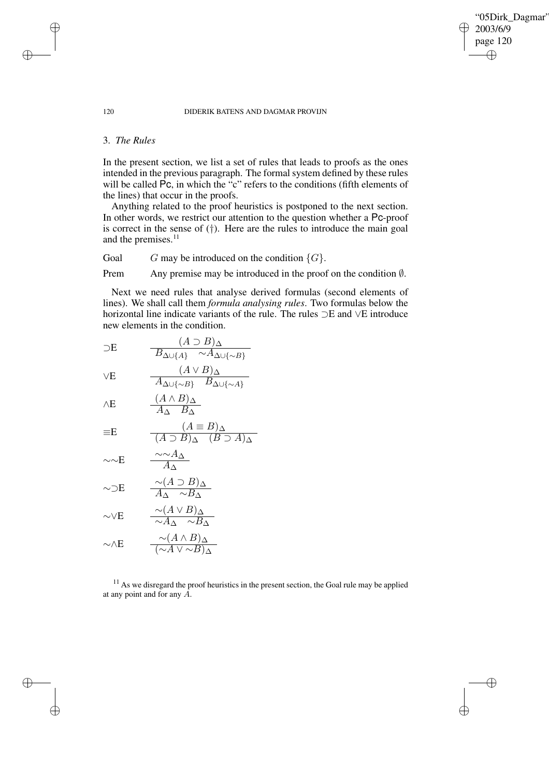"05Dirk\_Dagmar" 2003/6/9 page 120 ✐ ✐

 $\bigoplus$ 

✐

## 120 DIDERIK BATENS AND DAGMAR PROVIJN

## 3. *The Rules*

In the present section, we list a set of rules that leads to proofs as the ones intended in the previous paragraph. The formal system defined by these rules will be called Pc, in which the "c" refers to the conditions (fifth elements of the lines) that occur in the proofs.

Anything related to the proof heuristics is postponed to the next section. In other words, we restrict our attention to the question whether a Pc-proof is correct in the sense of  $(\dagger)$ . Here are the rules to introduce the main goal and the premises.<sup>11</sup>

Goal G may be introduced on the condition  $\{G\}$ .

Prem Any premise may be introduced in the proof on the condition  $\emptyset$ .

Next we need rules that analyse derived formulas (second elements of lines). We shall call them *formula analysing rules*. Two formulas below the horizontal line indicate variants of the rule. The rules ⊃E and ∨E introduce new elements in the condition.

$$
\supset E \qquad \frac{(A \supset B)_{\Delta}}{B_{\Delta \cup \{A\}} \sim A_{\Delta \cup \{\sim B\}}}
$$
  

$$
\vee E \qquad \frac{(A \vee B)_{\Delta}}{A_{\Delta \cup \{\sim B\}} \cdot B_{\Delta \cup \{\sim A\}}}
$$

$$
\wedge \mathbf{E} \qquad \qquad \frac{(A \wedge B)_{\Delta}}{A_{\Delta} \cdot B_{\Delta}}
$$

$$
\equiv E \qquad \qquad \frac{(A \equiv B)_{\Delta}}{(A \supset B)_{\Delta} \quad (B \supset A)_{\Delta}}
$$

$$
\sim E \qquad \frac{\sim A_{\Delta}}{A_{\Delta}}
$$

$$
\sim \supset \mathbf{E} \qquad \frac{\sim (A \supset B)_{\Delta}}{A_{\Delta} \sim B_{\Delta}}
$$

$$
\sim\!\!\vee \mathbf{E} \qquad \frac{\sim (A\vee B)_{\Delta}}{\sim A_{\Delta}} \sim B_{\Delta}
$$

$$
\sim \wedge E \qquad \frac{\sim (A \wedge B)_{\Delta}}{(\sim A \vee \sim B)_{\Delta}}
$$

 $11$  As we disregard the proof heuristics in the present section, the Goal rule may be applied at any point and for any A.

✐

✐

✐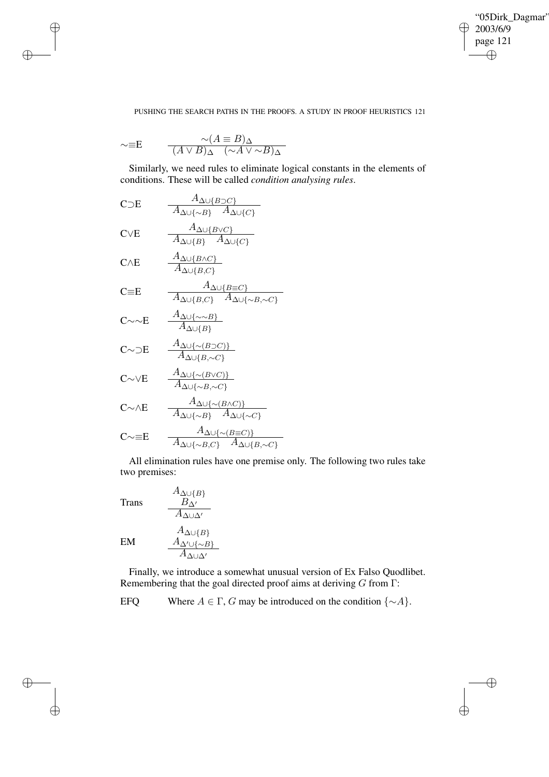$\bigoplus$ 

✐

## PUSHING THE SEARCH PATHS IN THE PROOFS. A STUDY IN PROOF HEURISTICS 121

$$
\sim \equiv E \qquad \frac{\sim (A \equiv B)_{\Delta}}{(A \lor B)_{\Delta} \quad (\sim A \lor \sim B)_{\Delta}}
$$

✐

✐

✐

✐

Similarly, we need rules to eliminate logical constants in the elements of conditions. These will be called *condition analysing rules*.

CDE 
$$
\frac{A_{\Delta\cup\{B\}C\}}{A_{\Delta\cup\{\sim B\}} A_{\Delta\cup\{C\}}}
$$
  
\nCVE 
$$
\frac{A_{\Delta\cup\{B\}C\}}{A_{\Delta\cup\{B\}} A_{\Delta\cup\{C\}}}
$$
  
\nCAE 
$$
\frac{A_{\Delta\cup\{B\}C\}}{A_{\Delta\cup\{B,C\}}}
$$
  
\nC=E 
$$
\frac{A_{\Delta\cup\{B\}C\}}{A_{\Delta\cup\{B,C\}} A_{\Delta\cup\{\sim B,C\}}}
$$
  
\nC $\sim$ E 
$$
\frac{A_{\Delta\cup\{\sim B\}C\}}{A_{\Delta\cup\{B\}}}
$$
  
\nC $\sim$ DE 
$$
\frac{A_{\Delta\cup\{\sim B\}C\}}{A_{\Delta\cup\{B,\sim C\}}}
$$
  
\nC $\sim$ VE 
$$
\frac{A_{\Delta\cup\{\sim(B\}C)\}}{A_{\Delta\cup\{\sim B\}C\}}}
$$
  
\nC $\sim$ AE 
$$
\frac{A_{\Delta\cup\{\sim(B\}C)\}}{A_{\Delta\cup\{\sim B\}} A_{\Delta\cup\{\sim C\}}}
$$

$$
C \sim \equiv E \qquad \frac{A_{\Delta \cup \{\sim (B \equiv C)\}}}{A_{\Delta \cup \{\sim B, C\}} \quad A_{\Delta \cup \{B, \sim C\}}}
$$

 $A_{\Delta\cup\{B\}}$  $B_{\Delta'}$ 

All elimination rules have one premise only. The following two rules take two premises:

Trans

A∆∪∆<sup>0</sup> EM A∆∪{B} A∆0∪{∼B} A∆∪∆<sup>0</sup>

Finally, we introduce a somewhat unusual version of Ex Falso Quodlibet. Remembering that the goal directed proof aims at deriving  $G$  from  $\Gamma$ :

EFQ Where  $A \in \Gamma$ , G may be introduced on the condition  $\{\sim A\}$ .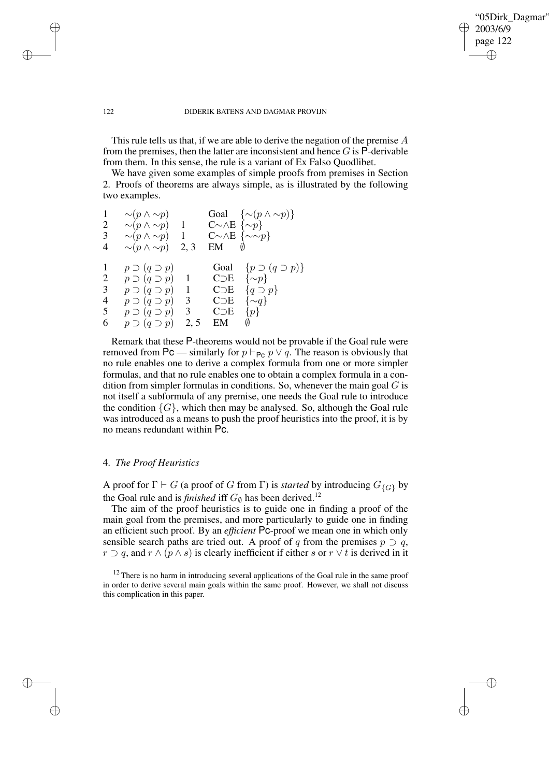✐

## 122 DIDERIK BATENS AND DAGMAR PROVIJN

This rule tells us that, if we are able to derive the negation of the premise A from the premises, then the latter are inconsistent and hence  $G$  is  $\overline{P}$ -derivable from them. In this sense, the rule is a variant of Ex Falso Quodlibet.

We have given some examples of simple proofs from premises in Section 2. Proofs of theorems are always simple, as is illustrated by the following two examples.

| $\mathbf{1}$            | $\sim (p \wedge \sim p)$   |                |                                 | Goal $\{\sim (p \wedge \sim p)\}\$ |
|-------------------------|----------------------------|----------------|---------------------------------|------------------------------------|
| $\overline{\mathbf{c}}$ | $\sim (p \wedge \sim p)$   | -1             | $C\sim\wedge E\ \{\sim p\}$     |                                    |
| 3                       | $\sim (p \wedge \sim p)$ 1 |                | $C\sim\wedge E\ \{\sim\sim p\}$ |                                    |
| 4                       | $\sim (p \wedge \sim p)$   | 2, 3           | EM                              |                                    |
|                         |                            |                |                                 |                                    |
| 1                       | $p \supset (q \supset p)$  |                | Goal                            | $\{p \supset (q \supset p)\}\$     |
| $\overline{c}$          | $p \supset (q \supset p)$  |                | $C\supset E$                    | $\{\sim p\}$                       |
| $\mathfrak{Z}$          | $p \supset (q \supset p)$  | $\mathbf{1}$   | $C\supset E$                    | $\{q \supset p\}$                  |
| 4                       | $p \supset (q \supset p)$  | 3              | $C\supset E$                    | $\{\sim q\}$                       |
| 5                       | $p \supset (q \supset p)$  | $\mathfrak{Z}$ | C <sub>DE</sub>                 | $\{p\}$                            |
| 6                       | $p \supset (q \supset p)$  | 2, 5           | EM                              |                                    |
|                         |                            |                |                                 |                                    |

Remark that these P-theorems would not be provable if the Goal rule were removed from Pc — similarly for  $p \vdash_{\mathsf{Pc}} p \lor q$ . The reason is obviously that no rule enables one to derive a complex formula from one or more simpler formulas, and that no rule enables one to obtain a complex formula in a condition from simpler formulas in conditions. So, whenever the main goal  $G$  is not itself a subformula of any premise, one needs the Goal rule to introduce the condition  $\{G\}$ , which then may be analysed. So, although the Goal rule was introduced as a means to push the proof heuristics into the proof, it is by no means redundant within Pc.

# 4. *The Proof Heuristics*

✐

✐

✐

✐

A proof for  $\Gamma \vdash G$  (a proof of G from  $\Gamma$ ) is *started* by introducing  $G_{\{G\}}$  by the Goal rule and is *finished* iff  $G_{\emptyset}$  has been derived.<sup>12</sup>

The aim of the proof heuristics is to guide one in finding a proof of the main goal from the premises, and more particularly to guide one in finding an efficient such proof. By an *efficient* Pc-proof we mean one in which only sensible search paths are tried out. A proof of q from the premises  $p \supset q$ ,  $r \supset q$ , and  $r \wedge (p \wedge s)$  is clearly inefficient if either s or  $r \vee t$  is derived in it

 $12$  There is no harm in introducing several applications of the Goal rule in the same proof in order to derive several main goals within the same proof. However, we shall not discuss this complication in this paper.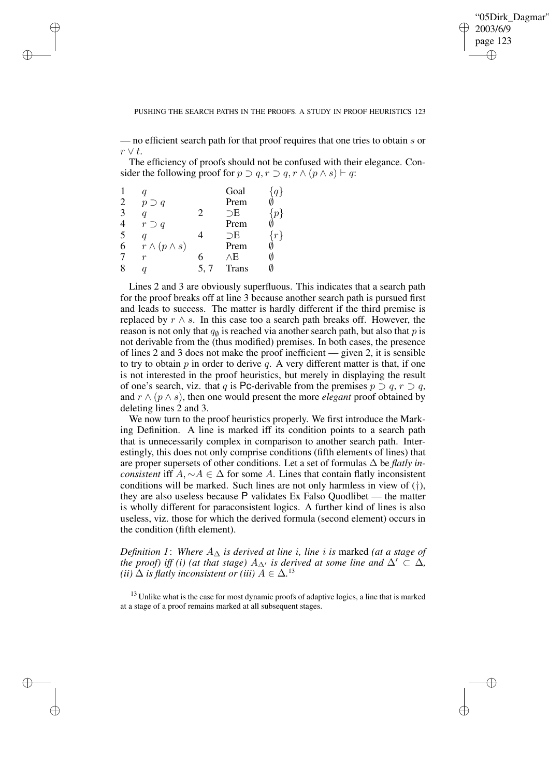✐

## PUSHING THE SEARCH PATHS IN THE PROOFS. A STUDY IN PROOF HEURISTICS 123

— no efficient search path for that proof requires that one tries to obtain s or  $r \vee t$ .

The efficiency of proofs should not be confused with their elegance. Consider the following proof for  $p \supset q, r \supset q, r \wedge (p \wedge s) \vdash q$ :

|                |                         |                | Goal         |       |
|----------------|-------------------------|----------------|--------------|-------|
| $\overline{2}$ | $p \supset q$           |                | Prem         |       |
| 3              |                         | $\mathfrak{D}$ | $\supset$ E  |       |
|                | $r \supset q$           |                | Prem         |       |
| 5              |                         |                | $\supset$ E  | $r\}$ |
| 6              | $r \wedge (p \wedge s)$ |                | Prem         |       |
|                | r                       | 6              | ΛE           |       |
|                |                         | 5.7            | <b>Trans</b> |       |

✐

✐

✐

✐

Lines 2 and 3 are obviously superfluous. This indicates that a search path for the proof breaks off at line 3 because another search path is pursued first and leads to success. The matter is hardly different if the third premise is replaced by  $r \wedge s$ . In this case too a search path breaks off. However, the reason is not only that  $q_{\emptyset}$  is reached via another search path, but also that  $p$  is not derivable from the (thus modified) premises. In both cases, the presence of lines 2 and 3 does not make the proof inefficient — given 2, it is sensible to try to obtain  $p$  in order to derive  $q$ . A very different matter is that, if one is not interested in the proof heuristics, but merely in displaying the result of one's search, viz. that q is Pc-derivable from the premises  $p \supset q$ ,  $r \supset q$ , and r ∧ (p ∧ s), then one would present the more *elegant* proof obtained by deleting lines 2 and 3.

We now turn to the proof heuristics properly. We first introduce the Marking Definition. A line is marked iff its condition points to a search path that is unnecessarily complex in comparison to another search path. Interestingly, this does not only comprise conditions (fifth elements of lines) that are proper supersets of other conditions. Let a set of formulas  $\Delta$  be *flatly inconsistent* iff  $A, \sim A \in \Delta$  for some A. Lines that contain flatly inconsistent conditions will be marked. Such lines are not only harmless in view of (†), they are also useless because P validates Ex Falso Quodlibet — the matter is wholly different for paraconsistent logics. A further kind of lines is also useless, viz. those for which the derived formula (second element) occurs in the condition (fifth element).

*Definition* 1: *Where*  $A_{\Delta}$  *is derived at line i*, *line i is* marked (*at a stage of the proof) iff (i) (at that stage)*  $A_{\Delta}$ *' is derived at some line and*  $\Delta' \subset \Delta$ *, (ii)*  $\Delta$  *is flatly inconsistent or (iii)*  $A \in \Delta$ .<sup>13</sup>

<sup>13</sup> Unlike what is the case for most dynamic proofs of adaptive logics, a line that is marked at a stage of a proof remains marked at all subsequent stages.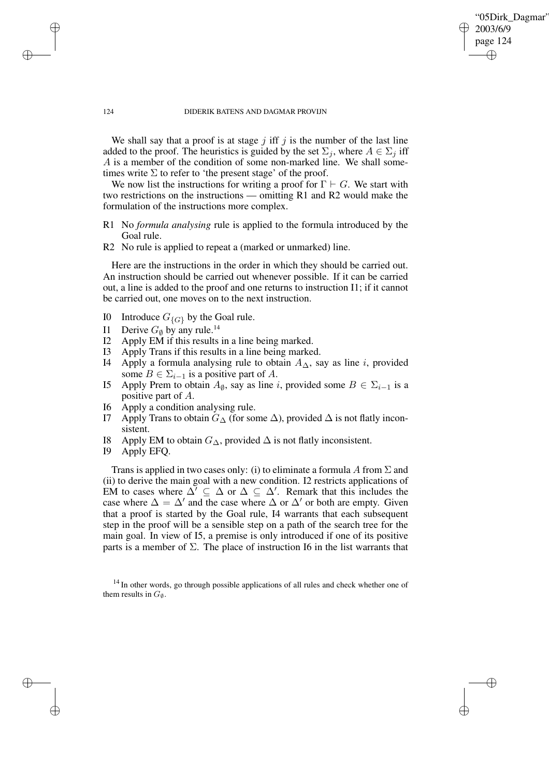✐

#### 124 DIDERIK BATENS AND DAGMAR PROVIJN

We shall say that a proof is at stage  $j$  iff  $j$  is the number of the last line added to the proof. The heuristics is guided by the set  $\Sigma_i$ , where  $A \in \Sigma_i$  iff A is a member of the condition of some non-marked line. We shall sometimes write  $\Sigma$  to refer to 'the present stage' of the proof.

We now list the instructions for writing a proof for  $\Gamma \vdash G$ . We start with two restrictions on the instructions — omitting R1 and R2 would make the formulation of the instructions more complex.

- R1 No *formula analysing* rule is applied to the formula introduced by the Goal rule.
- R2 No rule is applied to repeat a (marked or unmarked) line.

Here are the instructions in the order in which they should be carried out. An instruction should be carried out whenever possible. If it can be carried out, a line is added to the proof and one returns to instruction I1; if it cannot be carried out, one moves on to the next instruction.

- I0 Introduce  $G_{\{G\}}$  by the Goal rule.
- I1 Derive  $G_{\emptyset}$  by any rule.<sup>14</sup><br>I2 Apply EM if this results
- Apply EM if this results in a line being marked.
- I3 Apply Trans if this results in a line being marked.
- I4 Apply a formula analysing rule to obtain  $A_{\Delta}$ , say as line *i*, provided some  $B \in \Sigma_{i-1}$  is a positive part of A.
- I5 Apply Prem to obtain  $A_{\emptyset}$ , say as line *i*, provided some  $B \in \Sigma_{i-1}$  is a positive part of A.
- I6 Apply a condition analysing rule.
- I7 Apply Trans to obtain  $G_{\Delta}$  (for some  $\Delta$ ), provided  $\Delta$  is not flatly inconsistent.
- I8 Apply EM to obtain  $G_{\Delta}$ , provided  $\Delta$  is not flatly inconsistent.<br>I9 Apply EFO.
- Apply EFQ.

✐

✐

✐

✐

Trans is applied in two cases only: (i) to eliminate a formula A from  $\Sigma$  and (ii) to derive the main goal with a new condition. I2 restricts applications of EM to cases where  $\Delta^7 \subseteq \Delta$  or  $\Delta \subseteq \Delta^7$ . Remark that this includes the case where  $\Delta = \Delta'$  and the case where  $\Delta$  or  $\Delta'$  or both are empty. Given that a proof is started by the Goal rule, I4 warrants that each subsequent step in the proof will be a sensible step on a path of the search tree for the main goal. In view of I5, a premise is only introduced if one of its positive parts is a member of  $\Sigma$ . The place of instruction I6 in the list warrants that

<sup>&</sup>lt;sup>14</sup> In other words, go through possible applications of all rules and check whether one of them results in  $G_{\emptyset}$ .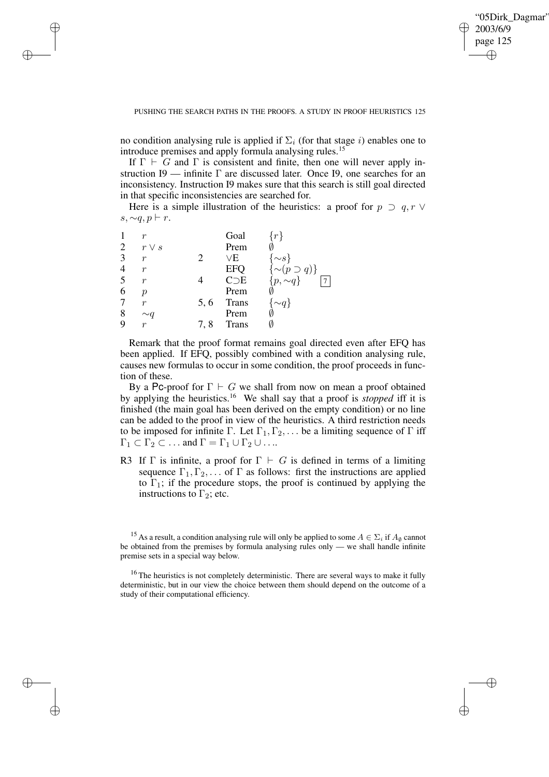✐

no condition analysing rule is applied if  $\Sigma_i$  (for that stage i) enables one to introduce premises and apply formula analysing rules.<sup>15</sup>

If  $\Gamma \vdash G$  and  $\Gamma$  is consistent and finite, then one will never apply instruction I9 — infinite  $\Gamma$  are discussed later. Once I9, one searches for an inconsistency. Instruction I9 makes sure that this search is still goal directed in that specific inconsistencies are searched for.

Here is a simple illustration of the heuristics: a proof for  $p \supset q, r \vee$ s,  $\sim q, p \vdash r$ .

| Goal                                          |                           |
|-----------------------------------------------|---------------------------|
| 2<br>Prem<br>$r \vee s$                       |                           |
| 3<br>$\vee E$<br>$\boldsymbol{r}$             | $\{\sim s\}$              |
| $\overline{4}$<br><b>EFQ</b><br>r             | $\{\sim (p \supset q)\}\$ |
| 5<br>$C\supset E$<br>$\boldsymbol{r}$         | $\{p, \sim\! q\}$         |
| 6<br>Prem<br>р                                |                           |
| <b>Trans</b><br>7<br>5, 6<br>$\boldsymbol{r}$ | $\{\sim q\}$              |
| 8<br>Prem<br>$\mathord{\sim} q$               |                           |
| 9<br><b>Trans</b><br>$\boldsymbol{r}$<br>7.8  |                           |

✐

✐

✐

✐

Remark that the proof format remains goal directed even after EFQ has been applied. If EFQ, possibly combined with a condition analysing rule, causes new formulas to occur in some condition, the proof proceeds in function of these.

By a Pc-proof for  $\Gamma \vdash G$  we shall from now on mean a proof obtained by applying the heuristics.<sup>16</sup> We shall say that a proof is *stopped* iff it is finished (the main goal has been derived on the empty condition) or no line can be added to the proof in view of the heuristics. A third restriction needs to be imposed for infinite Γ. Let  $\Gamma_1, \Gamma_2, \ldots$  be a limiting sequence of Γ iff  $\Gamma_1 \subset \Gamma_2 \subset \ldots$  and  $\Gamma = \Gamma_1 \cup \Gamma_2 \cup \ldots$ 

R3 If  $\Gamma$  is infinite, a proof for  $\Gamma \vdash G$  is defined in terms of a limiting sequence  $\Gamma_1, \Gamma_2, \ldots$  of  $\Gamma$  as follows: first the instructions are applied to  $\Gamma_1$ ; if the procedure stops, the proof is continued by applying the instructions to  $\Gamma_2$ ; etc.

<sup>&</sup>lt;sup>15</sup> As a result, a condition analysing rule will only be applied to some  $A \in \Sigma_i$  if  $A_{\emptyset}$  cannot be obtained from the premises by formula analysing rules only — we shall handle infinite premise sets in a special way below.

 $16$  The heuristics is not completely deterministic. There are several ways to make it fully deterministic, but in our view the choice between them should depend on the outcome of a study of their computational efficiency.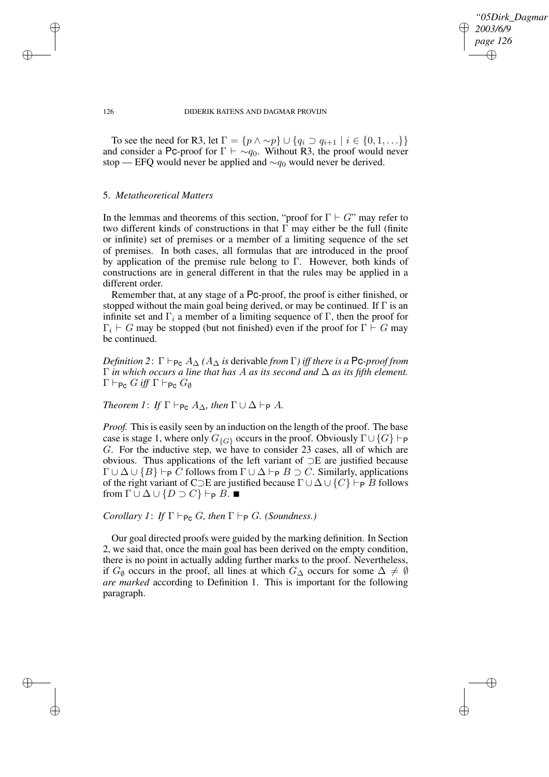*"05Dirk\_Dagmar" 2003/6/9 page 126* ✐ ✐

✐

✐

126 DIDERIK BATENS AND DAGMAR PROVIJN

To see the need for R3, let  $\Gamma = \{p \land \sim p\} \cup \{q_i \supset q_{i+1} \mid i \in \{0, 1, \ldots\}\}\$ and consider a Pc-proof for  $\Gamma \vdash \sim q_0$ . Without R3, the proof would never stop — EFQ would never be applied and  $\sim q_0$  would never be derived.

## 5. *Metatheoretical Matters*

In the lemmas and theorems of this section, "proof for  $\Gamma \vdash G$ " may refer to two different kinds of constructions in that Γ may either be the full (finite or infinite) set of premises or a member of a limiting sequence of the set of premises. In both cases, all formulas that are introduced in the proof by application of the premise rule belong to  $\Gamma$ . However, both kinds of constructions are in general different in that the rules may be applied in a different order.

Remember that, at any stage of a Pc-proof, the proof is either finished, or stopped without the main goal being derived, or may be continued. If  $\Gamma$  is an infinite set and  $\Gamma_i$  a member of a limiting sequence of  $\Gamma$ , then the proof for  $\Gamma_i \vdash G$  may be stopped (but not finished) even if the proof for  $\Gamma \vdash G$  may be continued.

*Definition* 2:  $\Gamma \vdash_{\mathsf{PC}} A_{\Delta}$  *(A* $_{\Delta}$  *is* derivable *from*  $\Gamma$ *) iff there is a* Pc*-proof from* Γ *in which occurs a line that has* A *as its second and* ∆ *as its fifth element.*  $\Gamma \vdash_{\mathsf{Pc}} G$  *iff*  $\Gamma \vdash_{\mathsf{Pc}} G_{\emptyset}$ 

*Theorem 1*: *If*  $\Gamma \vdash_{\mathsf{Pc}} A_{\Delta}$ *, then*  $\Gamma \cup \Delta \vdash_{\mathsf{P}} A$ *.* 

*Proof.* This is easily seen by an induction on the length of the proof. The base case is stage 1, where only  $G_{\{G\}}$  occurs in the proof. Obviously  $\Gamma \cup \{G\} \vdash_P$ G. For the inductive step, we have to consider 23 cases, all of which are obvious. Thus applications of the left variant of ⊃E are justified because  $\Gamma \cup \Delta \cup \{B\} \vdash_{\mathsf{P}} C$  follows from  $\Gamma \cup \Delta \vdash_{\mathsf{P}} B \supset C$ . Similarly, applications of the right variant of C⊃E are justified because  $\Gamma \cup \Delta \cup \{C\} \vdash_{\mathsf{P}} B$  follows from  $\Gamma \cup \Delta \cup \{D \supset C\} \vdash_{\mathsf{P}} B$ .

*Corollary 1*: *If*  $\Gamma \vdash_{\mathsf{Pc}} G$ *, then*  $\Gamma \vdash_{\mathsf{P}} G$ *. (Soundness.)* 

Our goal directed proofs were guided by the marking definition. In Section 2, we said that, once the main goal has been derived on the empty condition, there is no point in actually adding further marks to the proof. Nevertheless, if  $G_{\emptyset}$  occurs in the proof, all lines at which  $G_{\Lambda}$  occurs for some  $\Delta \neq \emptyset$ *are marked* according to Definition 1. This is important for the following paragraph.

✐

✐

✐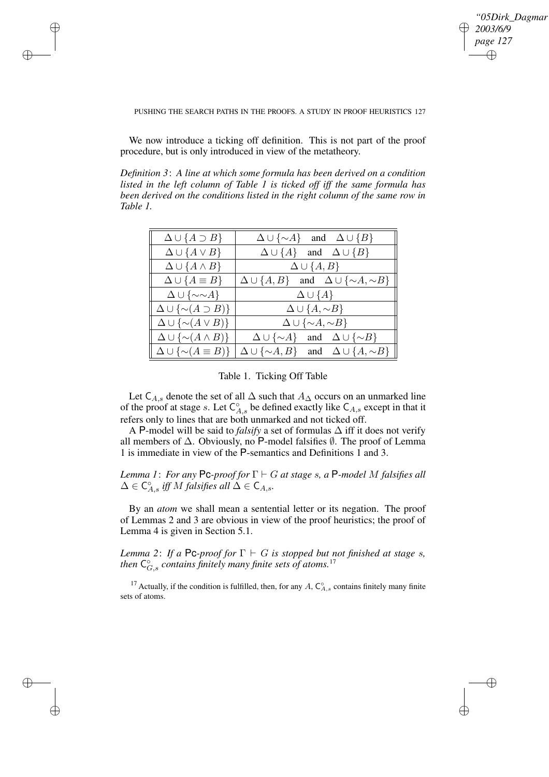✐

## PUSHING THE SEARCH PATHS IN THE PROOFS. A STUDY IN PROOF HEURISTICS 127

We now introduce a ticking off definition. This is not part of the proof procedure, but is only introduced in view of the metatheory.

✐

✐

✐

✐

*Definition 3*: *A line at which some formula has been derived on a condition listed in the left column of Table 1 is ticked off iff the same formula has been derived on the conditions listed in the right column of the same row in Table 1.*

| $\Delta \cup \{A \supset B\}$                      | $\Delta \cup {\sim} A$ and $\Delta \cup {B}$                |  |  |
|----------------------------------------------------|-------------------------------------------------------------|--|--|
| $\Delta \cup \{A \vee B\}$                         | $\Delta \cup \{A\}$ and $\Delta \cup \{B\}$                 |  |  |
| $\Delta \cup \{A \wedge B\}$                       | $\Delta \cup \{A, B\}$                                      |  |  |
| $\Delta \cup \{A \equiv B\}$                       | $\Delta \cup \{A, B\}$ and $\Delta \cup \{\sim A, \sim B\}$ |  |  |
| $\Delta \cup {\sim \sim} A$                        | $\Delta \cup \{A\}$                                         |  |  |
| $\Delta \cup {\lbrace \sim (A \supset B) \rbrace}$ | $\Delta \cup \{A, \sim B\}$                                 |  |  |
| $\Delta \cup {\lbrace \sim (A \vee B) \rbrace}$    | $\Delta \cup {\sim} A, {\sim} B$                            |  |  |
| $\Delta \cup {\lbrace \sim (A \wedge B) \rbrace}$  | $\Delta \cup {\sim} A$ and $\Delta \cup {\sim} B$           |  |  |
| $\Delta \cup {\{\sim (A \equiv B)\}}$              | $\Delta \cup {\sim} A, B$ and $\Delta \cup {A, \sim} B$     |  |  |

# Table 1. Ticking Off Table

Let C<sub>A,s</sub> denote the set of all  $\Delta$  such that  $A_{\Delta}$  occurs on an unmarked line of the proof at stage s. Let  $C_{A,s}^{\circ}$  be defined exactly like  $C_{A,s}$  except in that it refers only to lines that are both unmarked and not ticked off.

A P-model will be said to *falsify* a set of formulas ∆ iff it does not verify all members of ∆. Obviously, no P-model falsifies ∅. The proof of Lemma 1 is immediate in view of the P-semantics and Definitions 1 and 3.

*Lemma* 1: *For any* Pc-proof for  $\Gamma \vdash G$  *at stage s, a* P-model M falsifies all  $\Delta \in \mathsf{C}_{A,s}^{\circ}$  *iff* M *falsifies* all  $\Delta \in \mathsf{C}_{A,s}$ .

By an *atom* we shall mean a sentential letter or its negation. The proof of Lemmas 2 and 3 are obvious in view of the proof heuristics; the proof of Lemma 4 is given in Section 5.1.

*Lemma* 2: *If a* Pc-proof for  $\Gamma \vdash G$  *is stopped but not finished at stage s, then*  $C_{G,s}^{\circ}$  *contains finitely many finite sets of atoms.*<sup>17</sup>

<sup>17</sup> Actually, if the condition is fulfilled, then, for any A,  $C_{A,s}^{\circ}$  contains finitely many finite sets of atoms.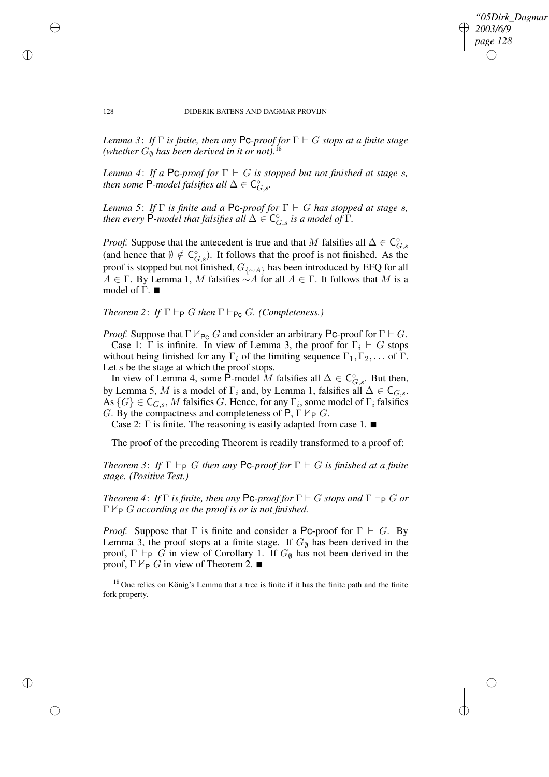*"05Dirk\_Dagmar" 2003/6/9 page 128* ✐ ✐

✐

✐

#### 128 DIDERIK BATENS AND DAGMAR PROVIJN

✐

✐

✐

✐

*Lemma* 3: *If*  $\Gamma$  *is finite, then any* Pc-proof for  $\Gamma \vdash G$  *stops at a finite stage (whether*  $G_{\emptyset}$  *has been derived in it or not*).<sup>18</sup>

*Lemma* 4: *If a* Pc-proof for  $\Gamma \vdash G$  *is stopped but not finished at stage s, then some*  $\mathsf{P}$ -model *falsifies all*  $\Delta \in \mathsf{C}^{\circ}_{G,s}$ .

*Lemma* 5: *If*  $\Gamma$  *is finite and a* Pc-proof for  $\Gamma \vdash G$  *has stopped at stage s, then every*  $\check{\mathsf{P}}$ *-model that falsifies all*  $\Delta \in \mathsf{C}^\circ_{G,s}$  *is a model of*  $\check{\Gamma}$ *.* 

*Proof.* Suppose that the antecedent is true and that M falsifies all  $\Delta \in \mathsf{C}_{G,s}^{\circ}$ (and hence that  $\emptyset \notin C_{G,s}^{\circ}$ ). It follows that the proof is not finished. As the proof is stopped but not finished,  $G_{\{\sim A\}}$  has been introduced by EFQ for all  $A \in \Gamma$ . By Lemma 1, M falsifies  $\sim A$  for all  $A \in \Gamma$ . It follows that M is a model of  $\Gamma$ .  $\blacksquare$ 

*Theorem* 2: *If*  $\Gamma \vdash_{\mathsf{P}} G$  *then*  $\Gamma \vdash_{\mathsf{Pc}} G$ *. (Completeness.)* 

*Proof.* Suppose that  $\Gamma \nvdash_{\mathsf{Pc}} G$  and consider an arbitrary Pc-proof for  $\Gamma \vdash G$ . Case 1: Γ is infinite. In view of Lemma 3, the proof for  $\Gamma_i \vdash G$  stops without being finished for any  $\Gamma_i$  of the limiting sequence  $\Gamma_1, \Gamma_2, \ldots$  of  $\Gamma$ . Let s be the stage at which the proof stops.

In view of Lemma 4, some  $\hat{P}$ -model M falsifies all  $\Delta \in C_{G,s}^{\circ}$ . But then, by Lemma 5, M is a model of  $\Gamma_i$  and, by Lemma 1, falsifies all  $\Delta \in \mathsf{C}_{G,s}$ . As  $\{G\} \in \mathsf{C}_{G,s}$ , M falsifies G. Hence, for any  $\Gamma_i$ , some model of  $\Gamma_i$  falsifies G. By the compactness and completeness of  $P, \Gamma \nvdash_P G$ .

Case 2:  $\Gamma$  is finite. The reasoning is easily adapted from case 1.  $\blacksquare$ 

The proof of the preceding Theorem is readily transformed to a proof of:

*Theorem* 3: *If*  $\Gamma \vdash_{\mathsf{P}} G$  *then any* **PC**-proof for  $\Gamma \vdash G$  *is finished at a finite stage. (Positive Test.)*

*Theorem* 4: *If*  $\Gamma$  *is finite, then any* Pc-*proof for*  $\Gamma \vdash G$  *stops and*  $\Gamma \vdash_{\mathsf{P}} G$  *or*  $\Gamma \nvdash_{\mathsf{P}} G$  *according as the proof is or is not finished.* 

*Proof.* Suppose that Γ is finite and consider a Pc-proof for  $\Gamma \vdash G$ . By Lemma 3, the proof stops at a finite stage. If  $G_{\emptyset}$  has been derived in the proof, Γ  $\vdash_{\mathsf{P}} G$  in view of Corollary 1. If  $G_{\emptyset}$  has not been derived in the proof,  $\Gamma \nvdash_{\mathsf{P}} G$  in view of Theorem 2.  $\blacksquare$ 

<sup>18</sup> One relies on König's Lemma that a tree is finite if it has the finite path and the finite fork property.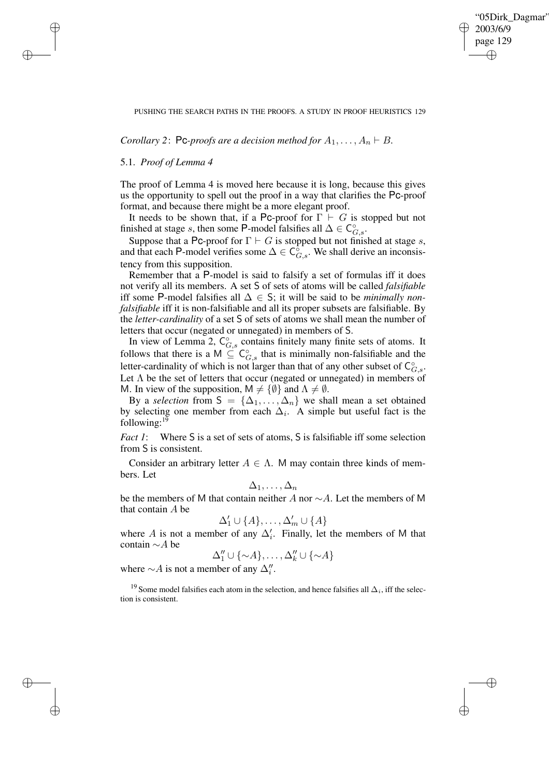✐

### PUSHING THE SEARCH PATHS IN THE PROOFS. A STUDY IN PROOF HEURISTICS 129

*Corollary* 2: Pc-proofs are a decision method for  $A_1, \ldots, A_n \vdash B$ .

## 5.1. *Proof of Lemma 4*

✐

✐

✐

✐

The proof of Lemma 4 is moved here because it is long, because this gives us the opportunity to spell out the proof in a way that clarifies the Pc-proof format, and because there might be a more elegant proof.

It needs to be shown that, if a Pc-proof for  $\Gamma \vdash G$  is stopped but not finished at stage s, then some P-model falsifies all  $\Delta \in C_{G,s}^{\circ}$ .

Suppose that a Pc-proof for  $\Gamma \vdash G$  is stopped but not finished at stage s, and that each P-model verifies some  $\Delta \in C_{G,s}^{\circ}$ . We shall derive an inconsistency from this supposition.

Remember that a P-model is said to falsify a set of formulas iff it does not verify all its members. A set S of sets of atoms will be called *falsifiable* iff some P-model falsifies all ∆ ∈ S; it will be said to be *minimally nonfalsifiable* iff it is non-falsifiable and all its proper subsets are falsifiable. By the *letter-cardinality* of a set S of sets of atoms we shall mean the number of letters that occur (negated or unnegated) in members of S.

In view of Lemma 2,  $C_{G,s}^{\circ}$  contains finitely many finite sets of atoms. It follows that there is a M  $\subseteq^{\circ} C_{G,s}^{\circ}$  that is minimally non-falsifiable and the letter-cardinality of which is not larger than that of any other subset of  $C_{G,s}^{\circ}$ . Let  $\Lambda$  be the set of letters that occur (negated or unnegated) in members of M. In view of the supposition,  $M \neq \{ \emptyset \}$  and  $\Lambda \neq \emptyset$ .

By a *selection* from  $S = {\{\Delta_1, \ldots, \Delta_n\}}$  we shall mean a set obtained by selecting one member from each  $\Delta_i$ . A simple but useful fact is the following: $19$ 

*Fact 1*: Where S is a set of sets of atoms, S is falsifiable iff some selection from S is consistent.

Consider an arbitrary letter  $A \in \Lambda$ . M may contain three kinds of members. Let

$$
\Delta_1,\ldots,\Delta_n
$$

be the members of M that contain neither A nor ∼A. Let the members of M that contain A be

$$
\Delta_1'\cup\{A\},\ldots,\Delta_m'\cup\{A\}
$$

where A is not a member of any  $\Delta_i'$ . Finally, let the members of M that contain ∼A be

$$
\Delta_1'' \cup \{\sim A\}, \ldots, \Delta_k'' \cup \{\sim A\}
$$

where  $\sim$  A is not a member of any  $\Delta''_i$ .

<sup>19</sup> Some model falsifies each atom in the selection, and hence falsifies all  $\Delta_i$ , iff the selection is consistent.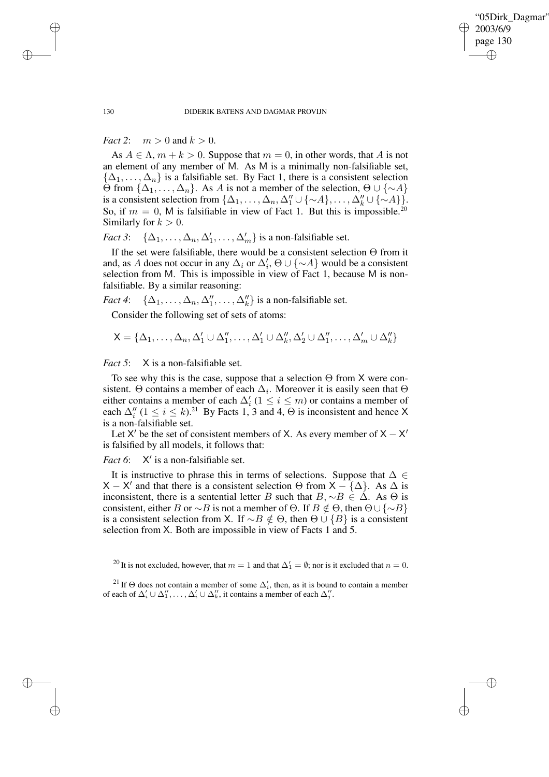✐

#### 130 DIDERIK BATENS AND DAGMAR PROVIJN

*Fact* 2:  $m > 0$  and  $k > 0$ .

As  $A \in \Lambda$ ,  $m + k > 0$ . Suppose that  $m = 0$ , in other words, that A is not an element of any member of M. As M is a minimally non-falsifiable set,  $\{\Delta_1,\ldots,\Delta_n\}$  is a falsifiable set. By Fact 1, there is a consistent selection  $Θ$  from { $Δ_1, ..., Δ_n$ }. As *A* is not a member of the selection,  $Θ ∪ {∼A}$ } is a consistent selection from  $\{\Delta_1, \ldots, \Delta_n, \Delta_1'' \cup \{\sim A\}, \ldots, \Delta_k'' \cup \{\sim A\}\}.$ So, if  $m = 0$ , M is falsifiable in view of Fact 1. But this is impossible.<sup>20</sup> Similarly for  $k > 0$ .

*Fact* 3:  $\{\Delta_1, \ldots, \Delta_n, \Delta'_1, \ldots, \Delta'_m\}$  is a non-falsifiable set.

If the set were falsifiable, there would be a consistent selection Θ from it and, as A does not occur in any  $\Delta_i$  or  $\Delta'_i$ ,  $\Theta \cup {\lbrace \sim A \rbrace}$  would be a consistent selection from M. This is impossible in view of Fact 1, because M is nonfalsifiable. By a similar reasoning:

*Fact* 4:  $\{\Delta_1, \ldots, \Delta_n, \Delta_1'', \ldots, \Delta_k''\}$  is a non-falsifiable set.

Consider the following set of sets of atoms:

$$
\mathsf{X}=\{\Delta_1,\ldots,\Delta_n,\Delta'_1\cup\Delta''_1,\ldots,\Delta'_1\cup\Delta''_k,\Delta'_2\cup\Delta''_1,\ldots,\Delta'_m\cup\Delta''_k\}
$$

*Fact* 5: X is a non-falsifiable set.

To see why this is the case, suppose that a selection  $\Theta$  from X were consistent.  $\Theta$  contains a member of each  $\Delta_i$ . Moreover it is easily seen that  $\Theta$ either contains a member of each  $\Delta_i'$  ( $1 \le i \le m$ ) or contains a member of each  $\Delta_i''$  (1  $\leq i \leq k$ ).<sup>21</sup> By Facts 1, 3 and 4,  $\Theta$  is inconsistent and hence X is a non-falsifiable set.

Let X' be the set of consistent members of X. As every member of  $X - X'$ is falsified by all models, it follows that:

*Fact* 6: ' is a non-falsifiable set.

It is instructive to phrase this in terms of selections. Suppose that  $\Delta \in$ X – X' and that there is a consistent selection  $\Theta$  from  $X - {\{\Delta\}}$ . As  $\Delta$  is inconsistent, there is a sentential letter B such that  $B, \sim B \in \Delta$ . As  $\Theta$  is consistent, either B or  $\sim$ B is not a member of Θ. If  $B \notin \Theta$ , then  $\Theta \cup {\sim} B$ } is a consistent selection from X. If  $\sim$ B ∉ $\Theta$ , then  $\Theta$  ∪ {B} is a consistent selection from X. Both are impossible in view of Facts 1 and 5.

✐

✐

✐

<sup>&</sup>lt;sup>20</sup> It is not excluded, however, that  $m = 1$  and that  $\Delta_1' = \emptyset$ ; nor is it excluded that  $n = 0$ .

<sup>&</sup>lt;sup>21</sup> If  $\Theta$  does not contain a member of some  $\Delta'_i$ , then, as it is bound to contain a member of each of  $\Delta'_i \cup \Delta''_1, \ldots, \Delta'_i \cup \Delta''_k$ , it contains a member of each  $\Delta''_j$ .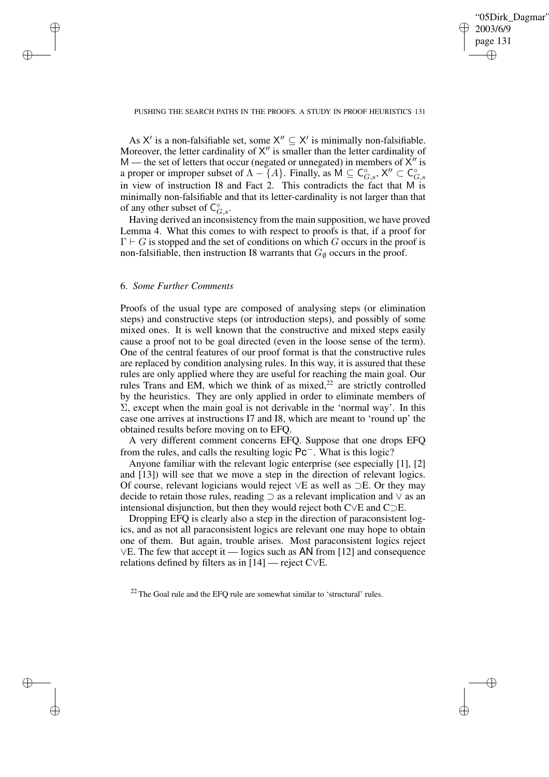✐

## PUSHING THE SEARCH PATHS IN THE PROOFS. A STUDY IN PROOF HEURISTICS 131

As X' is a non-falsifiable set, some  $X'' \subseteq X'$  is minimally non-falsifiable. Moreover, the letter cardinality of  $X''$  is smaller than the letter cardinality of M — the set of letters that occur (negated or unnegated) in members of  $X''$  is a proper or improper subset of  $\Lambda - \{A\}$ . Finally, as  $M \subseteq C_{G,s}^{\circ}, X'' \subset C_{G,s}^{\circ}$ in view of instruction I8 and Fact 2. This contradicts the fact that M is minimally non-falsifiable and that its letter-cardinality is not larger than that of any other subset of  $C_{G,s}^{\circ}$ .

Having derived an inconsistency from the main supposition, we have proved Lemma 4. What this comes to with respect to proofs is that, if a proof for  $\Gamma \vdash G$  is stopped and the set of conditions on which G occurs in the proof is non-falsifiable, then instruction I8 warrants that  $G_{\emptyset}$  occurs in the proof.

## 6. *Some Further Comments*

✐

✐

✐

✐

Proofs of the usual type are composed of analysing steps (or elimination steps) and constructive steps (or introduction steps), and possibly of some mixed ones. It is well known that the constructive and mixed steps easily cause a proof not to be goal directed (even in the loose sense of the term). One of the central features of our proof format is that the constructive rules are replaced by condition analysing rules. In this way, it is assured that these rules are only applied where they are useful for reaching the main goal. Our rules Trans and EM, which we think of as mixed, $^{22}$  are strictly controlled by the heuristics. They are only applied in order to eliminate members of  $\Sigma$ , except when the main goal is not derivable in the 'normal way'. In this case one arrives at instructions I7 and I8, which are meant to 'round up' the obtained results before moving on to EFQ.

A very different comment concerns EFQ. Suppose that one drops EFQ from the rules, and calls the resulting logic Pc−. What is this logic?

Anyone familiar with the relevant logic enterprise (see especially [1], [2] and [13]) will see that we move a step in the direction of relevant logics. Of course, relevant logicians would reject ∨E as well as ⊃E. Or they may decide to retain those rules, reading  $\supset$  as a relevant implication and  $\vee$  as an intensional disjunction, but then they would reject both C∨E and C⊃E.

Dropping EFQ is clearly also a step in the direction of paraconsistent logics, and as not all paraconsistent logics are relevant one may hope to obtain one of them. But again, trouble arises. Most paraconsistent logics reject ∨E. The few that accept it — logics such as AN from [12] and consequence relations defined by filters as in [14] — reject C∨E.

 $22$  The Goal rule and the EFQ rule are somewhat similar to 'structural' rules.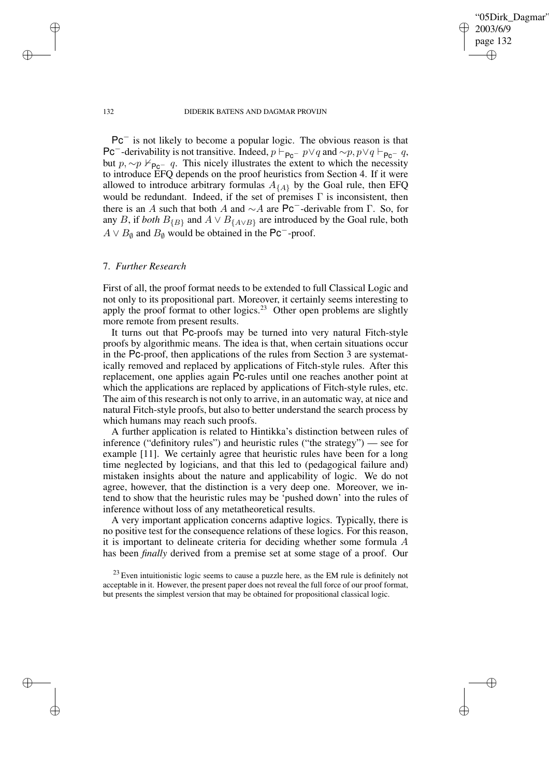"05Dirk\_Dagmar" 2003/6/9 page 132 ✐ ✐

✐

✐

### 132 DIDERIK BATENS AND DAGMAR PROVIJN

Pc<sup>−</sup> is not likely to become a popular logic. The obvious reason is that Pc<sup>−</sup>-derivability is not transitive. Indeed,  $p \vdash_{\mathsf{Pc}^-} p \lor q$  and ~ $p, p \lor q \vdash_{\mathsf{Pc}^-} q$ , but  $p, \sim p \nvDash_{\mathsf{Pc}^-} q$ . This nicely illustrates the extent to which the necessity to introduce EFQ depends on the proof heuristics from Section 4. If it were allowed to introduce arbitrary formulas  $A_{\{A\}}$  by the Goal rule, then EFQ would be redundant. Indeed, if the set of premises  $\Gamma$  is inconsistent, then there is an A such that both A and  $\sim A$  are Pc<sup>−</sup>-derivable from Γ. So, for any B, if *both*  $B_{\{B\}}$  and  $A \vee B_{\{A \vee B\}}$  are introduced by the Goal rule, both  $A \vee B_{\emptyset}$  and  $B_{\emptyset}$  would be obtained in the Pc<sup>-</sup>-proof.

## 7. *Further Research*

First of all, the proof format needs to be extended to full Classical Logic and not only to its propositional part. Moreover, it certainly seems interesting to apply the proof format to other logics.<sup>23</sup> Other open problems are slightly more remote from present results.

It turns out that Pc-proofs may be turned into very natural Fitch-style proofs by algorithmic means. The idea is that, when certain situations occur in the Pc-proof, then applications of the rules from Section 3 are systematically removed and replaced by applications of Fitch-style rules. After this replacement, one applies again Pc-rules until one reaches another point at which the applications are replaced by applications of Fitch-style rules, etc. The aim of this research is not only to arrive, in an automatic way, at nice and natural Fitch-style proofs, but also to better understand the search process by which humans may reach such proofs.

A further application is related to Hintikka's distinction between rules of inference ("definitory rules") and heuristic rules ("the strategy") — see for example [11]. We certainly agree that heuristic rules have been for a long time neglected by logicians, and that this led to (pedagogical failure and) mistaken insights about the nature and applicability of logic. We do not agree, however, that the distinction is a very deep one. Moreover, we intend to show that the heuristic rules may be 'pushed down' into the rules of inference without loss of any metatheoretical results.

A very important application concerns adaptive logics. Typically, there is no positive test for the consequence relations of these logics. For this reason, it is important to delineate criteria for deciding whether some formula A has been *finally* derived from a premise set at some stage of a proof. Our

✐

✐

✐

 $23$  Even intuitionistic logic seems to cause a puzzle here, as the EM rule is definitely not acceptable in it. However, the present paper does not reveal the full force of our proof format, but presents the simplest version that may be obtained for propositional classical logic.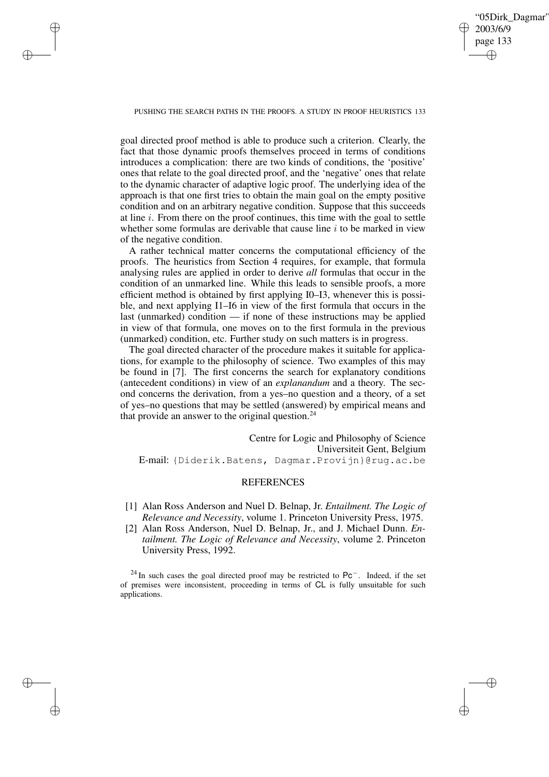✐

#### PUSHING THE SEARCH PATHS IN THE PROOFS. A STUDY IN PROOF HEURISTICS 133

✐

✐

✐

✐

goal directed proof method is able to produce such a criterion. Clearly, the fact that those dynamic proofs themselves proceed in terms of conditions introduces a complication: there are two kinds of conditions, the 'positive' ones that relate to the goal directed proof, and the 'negative' ones that relate to the dynamic character of adaptive logic proof. The underlying idea of the approach is that one first tries to obtain the main goal on the empty positive condition and on an arbitrary negative condition. Suppose that this succeeds at line  $i$ . From there on the proof continues, this time with the goal to settle whether some formulas are derivable that cause line  $i$  to be marked in view of the negative condition.

A rather technical matter concerns the computational efficiency of the proofs. The heuristics from Section 4 requires, for example, that formula analysing rules are applied in order to derive *all* formulas that occur in the condition of an unmarked line. While this leads to sensible proofs, a more efficient method is obtained by first applying I0–I3, whenever this is possible, and next applying I1–I6 in view of the first formula that occurs in the last (unmarked) condition — if none of these instructions may be applied in view of that formula, one moves on to the first formula in the previous (unmarked) condition, etc. Further study on such matters is in progress.

The goal directed character of the procedure makes it suitable for applications, for example to the philosophy of science. Two examples of this may be found in [7]. The first concerns the search for explanatory conditions (antecedent conditions) in view of an *explanandum* and a theory. The second concerns the derivation, from a yes–no question and a theory, of a set of yes–no questions that may be settled (answered) by empirical means and that provide an answer to the original question.<sup>24</sup>

Centre for Logic and Philosophy of Science Universiteit Gent, Belgium E-mail: {Diderik.Batens, Dagmar.Provijn}@rug.ac.be

## **REFERENCES**

- [1] Alan Ross Anderson and Nuel D. Belnap, Jr. *Entailment. The Logic of Relevance and Necessity*, volume 1. Princeton University Press, 1975.
- [2] Alan Ross Anderson, Nuel D. Belnap, Jr., and J. Michael Dunn. *Entailment. The Logic of Relevance and Necessity*, volume 2. Princeton University Press, 1992.

<sup>24</sup> In such cases the goal directed proof may be restricted to  $Pc^-$ . Indeed, if the set of premises were inconsistent, proceeding in terms of CL is fully unsuitable for such applications.